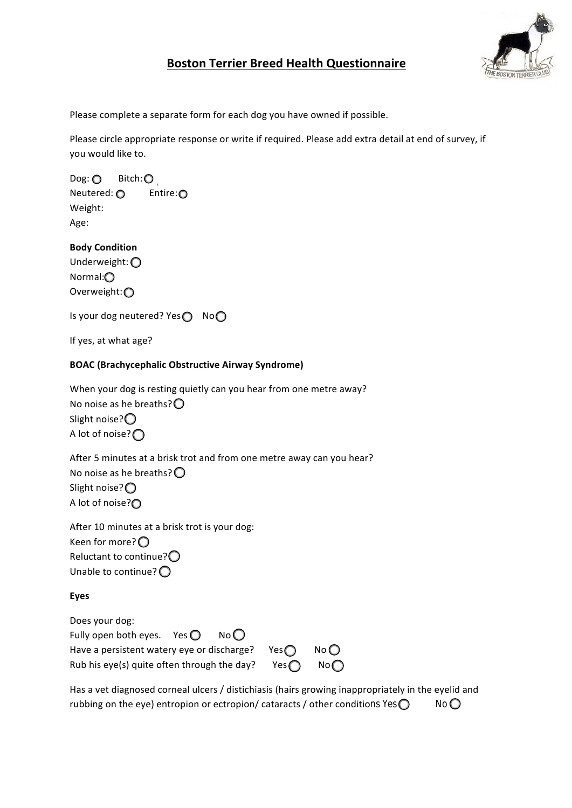

# **Boston Terrier Breed Health Questionnaire**

Please complete a separate form for each dog you have owned if possible.

Please circle appropriate response or write if required. Please add extra detail at end of survey, if you would like to.

 $\mathsf{Dog:}\bigodot\ \mathsf{Bitch:}\bigodot\ \mathsf{$ Neutered:  $\bigcirc$  Entire:  $\bigcirc$ Weight: Age: 

**Body Condition** Underweight: O Normal: Overweight: O

Is your dog neutered? Yes $\bigcirc$  No $\bigcirc$ 

If yes, at what age?

## **BOAC** (Brachycephalic Obstructive Airway Syndrome)

When your dog is resting quietly can you hear from one metre away? No noise as he breaths? $\bigcirc$ Slight noise? $\bigcirc$ A lot of noise? $\bigcap$ 

After 5 minutes at a brisk trot and from one metre away can you hear? No noise as he breaths? $\bigcirc$ Slight noise? $\bigcirc$ A lot of noise?<sup>O</sup>

After 10 minutes at a brisk trot is your dog: Keen for more? $\bigcirc$ Reluctant to continue? $\bigcirc$ Unable to continue? $\bigcirc$ 

## **Eyes**

Does your dog: Fully open both eyes. Yes  $\bigcirc$  No $\bigcirc$ Have a persistent watery eye or discharge? Yes  $\bigcap$  No  $\bigcap$ Rub his eye(s) quite often through the day? Yes  $\bigcap$  No $\bigcap$ 

Has a vet diagnosed corneal ulcers / distichiasis (hairs growing inappropriately in the eyelid and rubbing on the eye) entropion or ectropion/ cataracts / other conditions  $Yes \bigcirc$  No $\bigcirc$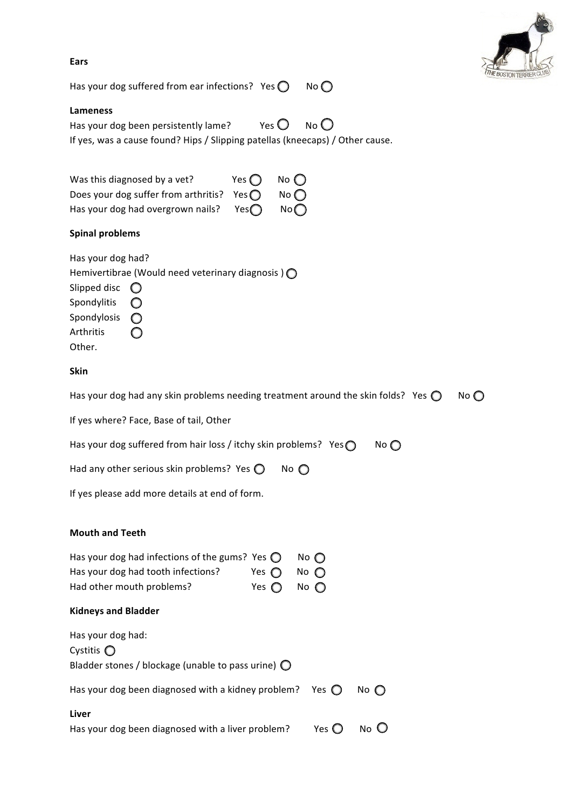

| ۰.<br>. .<br>×<br>× |  |
|---------------------|--|
|---------------------|--|

Has your dog suffered from ear infections? Yes  $\bigcirc$  No $\bigcirc$ 

#### **Lameness**

Has your dog been persistently lame?  $\blacksquare$  Yes  $\bigcirc$  No  $\bigcirc$ If yes, was a cause found? Hips / Slipping patellas (kneecaps) / Other cause.

| Was this diagnosed by a vet?                        | Yes $\bigcap$ No $\bigcap$ |
|-----------------------------------------------------|----------------------------|
| Does your dog suffer from arthritis? Yes $\bigcirc$ | No $\bigcap$               |
| Has your dog had overgrown nails? Yes $\bigcirc$    | No                         |

#### **Spinal problems**

| Has your dog had?       |                                                            |
|-------------------------|------------------------------------------------------------|
|                         | Hemivertibrae (Would need veterinary diagnosis) $\bigcirc$ |
| Slipped disc $\bigcirc$ |                                                            |
| Spondylitis             |                                                            |
| Spondylosis             |                                                            |
| Arthritis               |                                                            |
| Other.                  |                                                            |

#### **Skin**

| No $\bigcirc$<br>Has your dog had any skin problems needing treatment around the skin folds? Yes $\bigcirc$ . |
|---------------------------------------------------------------------------------------------------------------|
|---------------------------------------------------------------------------------------------------------------|

If yes where? Face, Base of tail, Other

| Has your dog suffered from hair loss / itchy skin problems? Yes $\bigcirc$ | No |
|----------------------------------------------------------------------------|----|
|                                                                            |    |

| Had any other serious skin problems? Yes $\bigcirc$ |  | $No$ $\bigcirc$ |
|-----------------------------------------------------|--|-----------------|
|-----------------------------------------------------|--|-----------------|

If yes please add more details at end of form.

#### **Mouth and Teeth**

| Has your dog had infections of the gums? Yes $\bigcirc$ No $\bigcirc$ |                              |  |
|-----------------------------------------------------------------------|------------------------------|--|
| Has your dog had tooth infections?                                    | Yes $\bigcirc$ No $\bigcirc$ |  |
| Had other mouth problems?                                             | Yes $\bigcirc$ No $\bigcirc$ |  |

#### **Kidneys and Bladder**

| Has your dog had:<br>Cystitis $\bigcirc$                          |                       |               |
|-------------------------------------------------------------------|-----------------------|---------------|
| Bladder stones / blockage (unable to pass urine) $\bigcirc$       |                       |               |
| Has your dog been diagnosed with a kidney problem? Yes $\bigcirc$ |                       | No $\bigcirc$ |
| Liver                                                             |                       |               |
| Has your dog been diagnosed with a liver problem?                 | Yes $\mathbf \bullet$ | $No$ $O$      |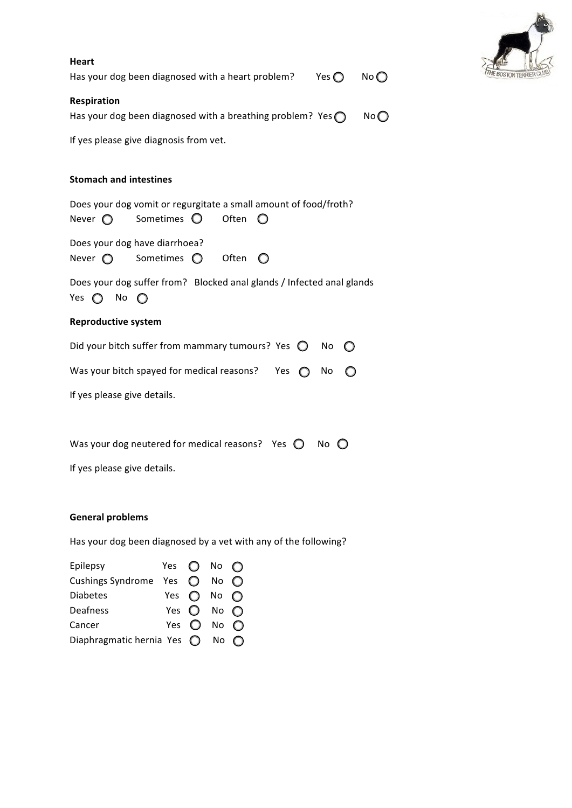| <b>Heart</b><br>Has your dog been diagnosed with a heart problem?<br>Yes $\bigcirc$<br>No                                           |  |  |  |
|-------------------------------------------------------------------------------------------------------------------------------------|--|--|--|
| Respiration<br>Has your dog been diagnosed with a breathing problem? Yes $\bigcap$<br>No                                            |  |  |  |
| If yes please give diagnosis from vet.                                                                                              |  |  |  |
| <b>Stomach and intestines</b>                                                                                                       |  |  |  |
| Does your dog vomit or regurgitate a small amount of food/froth?<br>Sometimes $\bigcirc$<br>Often<br>$\bigcirc$<br>Never $\bigcirc$ |  |  |  |
| Does your dog have diarrhoea?<br>Often<br>Sometimes $\bigcirc$<br>Never $\bigcirc$<br>◯                                             |  |  |  |
| Does your dog suffer from? Blocked anal glands / Infected anal glands<br>Yes $\bigcirc$ No $\bigcirc$                               |  |  |  |
| <b>Reproductive system</b>                                                                                                          |  |  |  |
| Did your bitch suffer from mammary tumours? Yes $\bigcirc$ No $\bigcirc$                                                            |  |  |  |
| Was your bitch spayed for medical reasons?<br>Yes $\bigcap$<br>No                                                                   |  |  |  |
| If yes please give details.                                                                                                         |  |  |  |
|                                                                                                                                     |  |  |  |
| Was your dog neutered for medical reasons? Yes $\bigcirc$ No $\bigcirc$                                                             |  |  |  |
| If yes please give details.                                                                                                         |  |  |  |

## **General problems**

Has your dog been diagnosed by a vet with any of the following?

| Epilepsy                                          | Yes $\bigcirc$ No $\bigcirc$ |                              |  |
|---------------------------------------------------|------------------------------|------------------------------|--|
| Cushings Syndrome Yes $\bigcirc$ No $\bigcirc$    |                              |                              |  |
| <b>Diabetes</b>                                   | Yes $\bigcirc$ No $\bigcirc$ |                              |  |
| Deafness                                          |                              | Yes $\bigcirc$ No $\bigcirc$ |  |
| Cancer                                            |                              | Yes $\bigcirc$ No $\bigcirc$ |  |
| Diaphragmatic hernia Yes $\bigcirc$ No $\bigcirc$ |                              |                              |  |